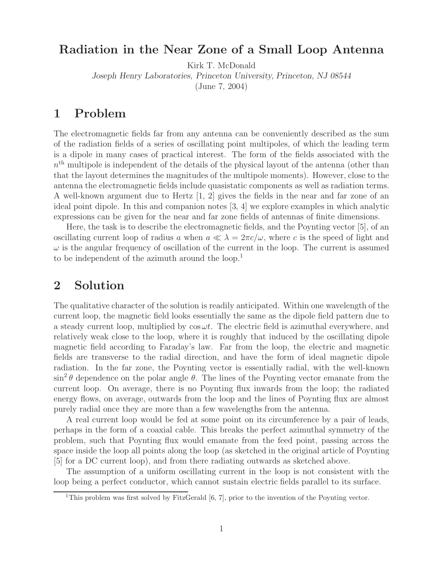## **Radiation in the Near Zone of a Small Loop Antenna**

Kirk T. McDonald

*Joseph Henry Laboratories, Princeton University, Princeton, NJ 08544*

(June 7, 2004)

### **1 Problem**

The electromagnetic fields far from any antenna can be conveniently described as the sum of the radiation fields of a series of oscillating point multipoles, of which the leading term is a dipole in many cases of practical interest. The form of the fields associated with the  $n<sup>th</sup>$  multipole is independent of the details of the physical layout of the antenna (other than that the layout determines the magnitudes of the multipole moments). However, close to the antenna the electromagnetic fields include quasistatic components as well as radiation terms. A well-known argument due to Hertz [1, 2] gives the fields in the near and far zone of an ideal point dipole. In this and companion notes [3, 4] we explore examples in which analytic expressions can be given for the near and far zone fields of antennas of finite dimensions.

Here, the task is to describe the electromagnetic fields, and the Poynting vector [5], of an oscillating current loop of radius a when  $a \ll \lambda = 2\pi c/\omega$ , where c is the speed of light and  $\omega$  is the angular frequency of oscillation of the current in the loop. The current is assumed to be independent of the azimuth around the loop.<sup>1</sup>

### **2 Solution**

The qualitative character of the solution is readily anticipated. Within one wavelength of the current loop, the magnetic field looks essentially the same as the dipole field pattern due to a steady current loop, multiplied by  $\cos \omega t$ . The electric field is azimuthal everywhere, and relatively weak close to the loop, where it is roughly that induced by the oscillating dipole magnetic field according to Faraday's law. Far from the loop, the electric and magnetic fields are transverse to the radial direction, and have the form of ideal magnetic dipole radiation. In the far zone, the Poynting vector is essentially radial, with the well-known  $\sin^2 \theta$  dependence on the polar angle  $\theta$ . The lines of the Poynting vector emanate from the current loop. On average, there is no Poynting flux inwards from the loop; the radiated energy flows, on average, outwards from the loop and the lines of Poynting flux are almost purely radial once they are more than a few wavelengths from the antenna.

A real current loop would be fed at some point on its circumference by a pair of leads, perhaps in the form of a coaxial cable. This breaks the perfect azimuthal symmetry of the problem, such that Poynting flux would emanate from the feed point, passing across the space inside the loop all points along the loop (as sketched in the original article of Poynting [5] for a DC current loop), and from there radiating outwards as sketched above.

The assumption of a uniform oscillating current in the loop is not consistent with the loop being a perfect conductor, which cannot sustain electric fields parallel to its surface.

<sup>&</sup>lt;sup>1</sup>This problem was first solved by FitzGerald  $[6, 7]$ , prior to the invention of the Poynting vector.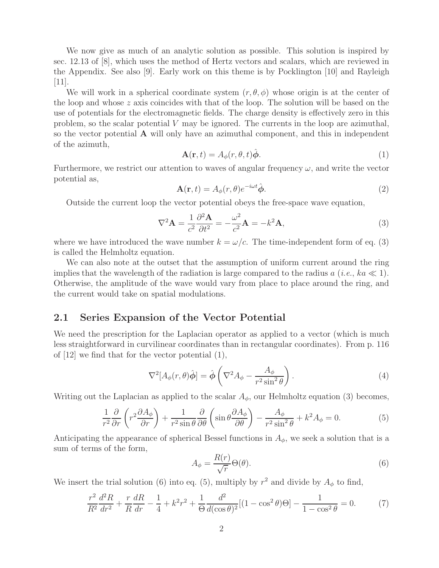We now give as much of an analytic solution as possible. This solution is inspired by sec. 12.13 of [8], which uses the method of Hertz vectors and scalars, which are reviewed in the Appendix. See also [9]. Early work on this theme is by Pocklington [10] and Rayleigh  $[11]$ .

We will work in a spherical coordinate system  $(r, \theta, \phi)$  whose origin is at the center of the loop and whose  $z$  axis coincides with that of the loop. The solution will be based on the use of potentials for the electromagnetic fields. The charge density is effectively zero in this problem, so the scalar potential  $V$  may be ignored. The currents in the loop are azimuthal, so the vector potential **A** will only have an azimuthal component, and this in independent of the azimuth,

$$
\mathbf{A}(\mathbf{r},t) = A_{\phi}(r,\theta,t)\hat{\boldsymbol{\phi}}.\tag{1}
$$

Furthermore, we restrict our attention to waves of angular frequency  $\omega$ , and write the vector potential as,

$$
\mathbf{A}(\mathbf{r},t) = A_{\phi}(r,\theta)e^{-i\omega t}\hat{\boldsymbol{\phi}}.
$$
\n(2)

Outside the current loop the vector potential obeys the free-space wave equation,

$$
\nabla^2 \mathbf{A} = \frac{1}{c^2} \frac{\partial^2 \mathbf{A}}{\partial t^2} = -\frac{\omega^2}{c^2} \mathbf{A} = -k^2 \mathbf{A},\tag{3}
$$

where we have introduced the wave number  $k = \omega/c$ . The time-independent form of eq. (3) is called the Helmholtz equation.

We can also note at the outset that the assumption of uniform current around the ring implies that the wavelength of the radiation is large compared to the radius  $a$  (*i.e.*,  $ka \ll 1$ ). Otherwise, the amplitude of the wave would vary from place to place around the ring, and the current would take on spatial modulations.

#### **2.1 Series Expansion of the Vector Potential**

We need the prescription for the Laplacian operator as applied to a vector (which is much less straightforward in curvilinear coordinates than in rectangular coordinates). From p. 116 of [12] we find that for the vector potential (1),

$$
\nabla^2[A_\phi(r,\theta)\hat{\phi}] = \hat{\phi}\left(\nabla^2 A_\phi - \frac{A_\phi}{r^2 \sin^2 \theta}\right). \tag{4}
$$

Writing out the Laplacian as applied to the scalar  $A_{\phi}$ , our Helmholtz equation (3) becomes,

$$
\frac{1}{r^2}\frac{\partial}{\partial r}\left(r^2\frac{\partial A_\phi}{\partial r}\right) + \frac{1}{r^2\sin\theta}\frac{\partial}{\partial \theta}\left(\sin\theta\frac{\partial A_\phi}{\partial \theta}\right) - \frac{A_\phi}{r^2\sin^2\theta} + k^2A_\phi = 0.
$$
 (5)

Anticipating the appearance of spherical Bessel functions in  $A_{\phi}$ , we seek a solution that is a sum of terms of the form,

$$
A_{\phi} = \frac{R(r)}{\sqrt{r}} \Theta(\theta). \tag{6}
$$

We insert the trial solution (6) into eq. (5), multiply by  $r^2$  and divide by  $A_{\phi}$  to find,

$$
\frac{r^2}{R^2}\frac{d^2R}{dr^2} + \frac{r}{R}\frac{dR}{dr} - \frac{1}{4} + k^2r^2 + \frac{1}{\Theta}\frac{d^2}{d(\cos\theta)^2}[(1-\cos^2\theta)\Theta] - \frac{1}{1-\cos^2\theta} = 0.
$$
 (7)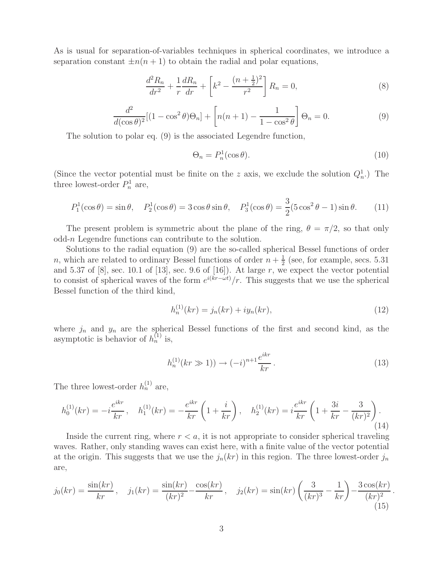As is usual for separation-of-variables techniques in spherical coordinates, we introduce a separation constant  $\pm n(n+1)$  to obtain the radial and polar equations,

$$
\frac{d^2 R_n}{dr^2} + \frac{1}{r} \frac{dR_n}{dr} + \left[k^2 - \frac{(n + \frac{1}{2})^2}{r^2}\right] R_n = 0,
$$
\n(8)

$$
\frac{d^2}{d(\cos \theta)^2} [(1 - \cos^2 \theta)\Theta_n] + \left[ n(n+1) - \frac{1}{1 - \cos^2 \theta} \right] \Theta_n = 0.
$$
 (9)

The solution to polar eq. (9) is the associated Legendre function,

$$
\Theta_n = P_n^1(\cos \theta). \tag{10}
$$

(Since the vector potential must be finite on the z axis, we exclude the solution  $Q_n^1$ .) The three lowest-order  $P_n^1$  are,

$$
P_1^1(\cos \theta) = \sin \theta, \quad P_2^1(\cos \theta) = 3\cos \theta \sin \theta, \quad P_3^1(\cos \theta) = \frac{3}{2}(5\cos^2 \theta - 1)\sin \theta. \tag{11}
$$

The present problem is symmetric about the plane of the ring,  $\theta = \pi/2$ , so that only odd-n Legendre functions can contribute to the solution.

Solutions to the radial equation (9) are the so-called spherical Bessel functions of order *n*, which are related to ordinary Bessel functions of order  $n + \frac{1}{2}$  (see, for example, secs. 5.31) and 5.37 of  $[8]$ , sec. 10.1 of  $[13]$ , sec. 9.6 of  $[16]$ ). At large r, we expect the vector potential to consist of spherical waves of the form  $e^{i(kr-\omega t)}/r$ . This suggests that we use the spherical Bessel function of the third kind,

$$
h_n^{(1)}(kr) = j_n(kr) + iy_n(kr),
$$
\n(12)

where  $j_n$  and  $y_n$  are the spherical Bessel functions of the first and second kind, as the asymptotic is behavior of  $h_n^{(1)}$  is,

$$
h_n^{(1)}(kr \gg 1)) \to (-i)^{n+1} \frac{e^{ikr}}{kr} \,. \tag{13}
$$

The three lowest-order  $h_n^{(1)}$  are,

$$
h_0^{(1)}(kr) = -i\frac{e^{ikr}}{kr}, \quad h_1^{(1)}(kr) = -\frac{e^{ikr}}{kr}\left(1 + \frac{i}{kr}\right), \quad h_2^{(1)}(kr) = i\frac{e^{ikr}}{kr}\left(1 + \frac{3i}{kr} - \frac{3}{(kr)^2}\right).
$$
\n(14)

Inside the current ring, where  $r < a$ , it is not appropriate to consider spherical traveling waves. Rather, only standing waves can exist here, with a finite value of the vector potential at the origin. This suggests that we use the  $j_n(kr)$  in this region. The three lowest-order  $j_n$ are,

$$
j_0(kr) = \frac{\sin(kr)}{kr}, \quad j_1(kr) = \frac{\sin(kr)}{(kr)^2} - \frac{\cos(kr)}{kr}, \quad j_2(kr) = \sin(kr) \left(\frac{3}{(kr)^3} - \frac{1}{kr}\right) - \frac{3\cos(kr)}{(kr)^2}.
$$
\n(15)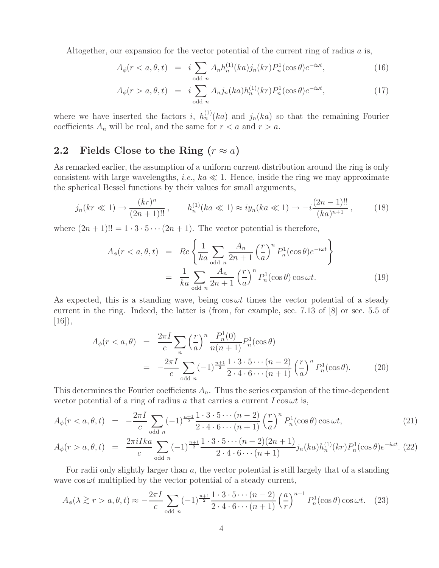Altogether, our expansion for the vector potential of the current ring of radius  $a$  is,

$$
A_{\phi}(r < a, \theta, t) = i \sum_{\text{odd } n} A_n h_n^{(1)}(ka) j_n(kr) P_n^1(\cos \theta) e^{-i\omega t}, \tag{16}
$$

$$
A_{\phi}(r > a, \theta, t) = i \sum_{\text{odd } n} A_{n} j_{n}(ka) h_{n}^{(1)}(kr) P_{n}^{1}(\cos \theta) e^{-i\omega t}, \qquad (17)
$$

where we have inserted the factors i,  $h_n^{(1)}(ka)$  and  $j_n(ka)$  so that the remaining Fourier coefficients  $A_n$  will be real, and the same for  $r < a$  and  $r > a$ .

## **2.2** Fields Close to the Ring  $(r \approx a)$

As remarked earlier, the assumption of a uniform current distribution around the ring is only consistent with large wavelengths, *i.e.*,  $ka \ll 1$ . Hence, inside the ring we may approximate the spherical Bessel functions by their values for small arguments,

$$
j_n(kr \ll 1) \to \frac{(kr)^n}{(2n+1)!!}, \qquad h_n^{(1)}(ka \ll 1) \approx i y_n(ka \ll 1) \to -i \frac{(2n-1)!!}{(ka)^{n+1}},\tag{18}
$$

where  $(2n + 1)!! = 1 \cdot 3 \cdot 5 \cdots (2n + 1)$ . The vector potential is therefore,

$$
A_{\phi}(r < a, \theta, t) = Re \left\{ \frac{1}{ka} \sum_{\text{odd } n} \frac{A_n}{2n+1} \left( \frac{r}{a} \right)^n P_n^1(\cos \theta) e^{-i\omega t} \right\}
$$
\n
$$
= \frac{1}{ka} \sum_{\text{odd } n} \frac{A_n}{2n+1} \left( \frac{r}{a} \right)^n P_n^1(\cos \theta) \cos \omega t. \tag{19}
$$

As expected, this is a standing wave, being  $\cos \omega t$  times the vector potential of a steady current in the ring. Indeed, the latter is (from, for example, sec. 7.13 of [8] or sec. 5.5 of  $[16]$ ,

$$
A_{\phi}(r < a, \theta) = \frac{2\pi I}{c} \sum_{n} \left(\frac{r}{a}\right)^{n} \frac{P_{n}^{1}(0)}{n(n+1)} P_{n}^{1}(\cos \theta)
$$
  

$$
= -\frac{2\pi I}{c} \sum_{\text{odd } n} (-1)^{\frac{n+1}{2}} \frac{1 \cdot 3 \cdot 5 \cdots (n-2)}{2 \cdot 4 \cdot 6 \cdots (n+1)} \left(\frac{r}{a}\right)^{n} P_{n}^{1}(\cos \theta). \tag{20}
$$

This determines the Fourier coefficients  $A_n$ . Thus the series expansion of the time-dependent vector potential of a ring of radius a that carries a current  $I \cos \omega t$  is,

$$
A_{\phi}(r < a, \theta, t) = -\frac{2\pi I}{c} \sum_{\text{odd } n} (-1)^{\frac{n+1}{2}} \frac{1 \cdot 3 \cdot 5 \cdots (n-2)}{2 \cdot 4 \cdot 6 \cdots (n+1)} \left(\frac{r}{a}\right)^n P_n^1(\cos \theta) \cos \omega t, \tag{21}
$$
  

$$
A_{\phi}(r > a, \theta, t) = \frac{2\pi i I k a}{c} \sum_{\text{odd } n} (-1)^{\frac{n+1}{2}} \frac{1 \cdot 3 \cdot 5 \cdots (n-2)(2n+1)}{2 \cdot 4 \cdot 6 \cdots (n+1)} j_n(ka) h_n^{(1)}(kr) P_n^1(\cos \theta) e^{-i\omega t}. \tag{22}
$$

odd n For radii only slightly larger than a, the vector potential is still largely that of a standing

wave  $\cos \omega t$  multiplied by the vector potential of a steady current,

$$
A_{\phi}(\lambda \gtrsim r > a, \theta, t) \approx -\frac{2\pi I}{c} \sum_{\text{odd } n} (-1)^{\frac{n+1}{2}} \frac{1 \cdot 3 \cdot 5 \cdots (n-2)}{2 \cdot 4 \cdot 6 \cdots (n+1)} \left(\frac{a}{r}\right)^{n+1} P_n^1(\cos \theta) \cos \omega t. \tag{23}
$$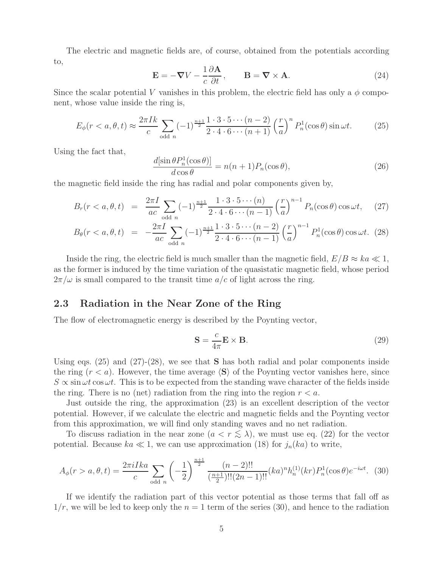The electric and magnetic fields are, of course, obtained from the potentials according to,

$$
\mathbf{E} = -\nabla V - \frac{1}{c} \frac{\partial \mathbf{A}}{\partial t}, \qquad \mathbf{B} = \nabla \times \mathbf{A}.
$$
 (24)

Since the scalar potential V vanishes in this problem, the electric field has only a  $\phi$  component, whose value inside the ring is,

$$
E_{\phi}(r < a, \theta, t) \approx \frac{2\pi I k}{c} \sum_{\text{odd } n} (-1)^{\frac{n+1}{2}} \frac{1 \cdot 3 \cdot 5 \cdots (n-2)}{2 \cdot 4 \cdot 6 \cdots (n+1)} \left(\frac{r}{a}\right)^n P_n^1(\cos \theta) \sin \omega t.
$$
 (25)

Using the fact that,

$$
\frac{d[\sin\theta P_n^1(\cos\theta)]}{d\cos\theta} = n(n+1)P_n(\cos\theta),\tag{26}
$$

the magnetic field inside the ring has radial and polar components given by,

$$
B_r(r < a, \theta, t) = \frac{2\pi I}{ac} \sum_{\text{odd } n} (-1)^{\frac{n+1}{2}} \frac{1 \cdot 3 \cdot 5 \cdots (n)}{2 \cdot 4 \cdot 6 \cdots (n-1)} \left(\frac{r}{a}\right)^{n-1} P_n(\cos \theta) \cos \omega t, \quad (27)
$$

$$
B_{\theta}(r < a, \theta, t) = -\frac{2\pi I}{ac} \sum_{\text{odd } n} (-1)^{\frac{n+1}{2}} \frac{1 \cdot 3 \cdot 5 \cdots (n-2)}{2 \cdot 4 \cdot 6 \cdots (n-1)} \left(\frac{r}{a}\right)^{n-1} P_n^1(\cos \theta) \cos \omega t. \tag{28}
$$

Inside the ring, the electric field is much smaller than the magnetic field,  $E/B \approx ka \ll 1$ , as the former is induced by the time variation of the quasistatic magnetic field, whose period  $2\pi/\omega$  is small compared to the transit time  $a/c$  of light across the ring.

### **2.3 Radiation in the Near Zone of the Ring**

The flow of electromagnetic energy is described by the Poynting vector,

$$
\mathbf{S} = \frac{c}{4\pi} \mathbf{E} \times \mathbf{B}.
$$
 (29)

Using eqs. (25) and (27)-(28), we see that **S** has both radial and polar components inside the ring  $(r < a)$ . However, the time average  $\langle S \rangle$  of the Poynting vector vanishes here, since  $S \propto \sin \omega t \cos \omega t$ . This is to be expected from the standing wave character of the fields inside the ring. There is no (net) radiation from the ring into the region  $r < a$ .

Just outside the ring, the approximation (23) is an excellent description of the vector potential. However, if we calculate the electric and magnetic fields and the Poynting vector from this approximation, we will find only standing waves and no net radiation.

To discuss radiation in the near zone  $(a < r \leq \lambda)$ , we must use eq. (22) for the vector potential. Because  $ka \ll 1$ , we can use approximation (18) for  $j_n(ka)$  to write,

$$
A_{\phi}(r > a, \theta, t) = \frac{2\pi i I k a}{c} \sum_{\text{odd } n} \left( -\frac{1}{2} \right)^{\frac{n+1}{2}} \frac{(n-2)!!}{\left(\frac{n+1}{2}\right)!! (2n-1)!!} (ka)^n h_n^{(1)}(kr) P_n^1(\cos\theta) e^{-i\omega t}.
$$
 (30)

If we identify the radiation part of this vector potential as those terms that fall off as  $1/r$ , we will be led to keep only the  $n = 1$  term of the series (30), and hence to the radiation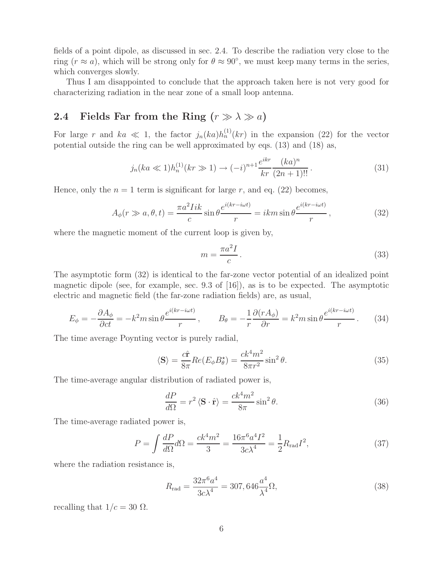fields of a point dipole, as discussed in sec. 2.4. To describe the radiation very close to the ring ( $r \approx a$ ), which will be strong only for  $\theta \approx 90^{\circ}$ , we must keep many terms in the series, which converges slowly.

Thus I am disappointed to conclude that the approach taken here is not very good for characterizing radiation in the near zone of a small loop antenna.

### **2.4** Fields Far from the Ring  $(r \gg \lambda \gg a)$

For large r and  $ka \ll 1$ , the factor  $j_n(ka)h_n^{(1)}(kr)$  in the expansion (22) for the vector potential outside the ring can be well approximated by eqs. (13) and (18) as,

$$
j_n(ka \ll 1)h_n^{(1)}(kr \gg 1) \to (-i)^{n+1} \frac{e^{ikr}}{kr} \frac{(ka)^n}{(2n+1)!!}.
$$
 (31)

Hence, only the  $n = 1$  term is significant for large r, and eq. (22) becomes,

$$
A_{\phi}(r \gg a, \theta, t) = \frac{\pi a^2 I i k}{c} \sin \theta \frac{e^{i(kr - i\omega t)}}{r} = ikm \sin \theta \frac{e^{i(kr - i\omega t)}}{r}, \qquad (32)
$$

where the magnetic moment of the current loop is given by,

$$
m = \frac{\pi a^2 I}{c} \,. \tag{33}
$$

The asymptotic form (32) is identical to the far-zone vector potential of an idealized point magnetic dipole (see, for example, sec. 9.3 of  $[16]$ ), as is to be expected. The asymptotic electric and magnetic field (the far-zone radiation fields) are, as usual,

$$
E_{\phi} = -\frac{\partial A_{\phi}}{\partial ct} = -k^2 m \sin \theta \frac{e^{i(kr - i\omega t)}}{r}, \qquad B_{\theta} = -\frac{1}{r} \frac{\partial (rA_{\phi})}{\partial r} = k^2 m \sin \theta \frac{e^{i(kr - i\omega t)}}{r}.
$$
 (34)

The time average Poynting vector is purely radial,

$$
\langle \mathbf{S} \rangle = \frac{c\hat{\mathbf{r}}}{8\pi} Re(E_{\phi} B_{\theta}^{\star}) = \frac{ck^4 m^2}{8\pi r^2} \sin^2 \theta.
$$
 (35)

The time-average angular distribution of radiated power is,

$$
\frac{dP}{d\Omega} = r^2 \langle \mathbf{S} \cdot \hat{\mathbf{r}} \rangle = \frac{ck^4 m^2}{8\pi} \sin^2 \theta.
$$
 (36)

The time-average radiated power is,

$$
P = \int \frac{dP}{d\Omega} d\Omega = \frac{ck^4 m^2}{3} = \frac{16\pi^6 a^4 I^2}{3c\lambda^4} = \frac{1}{2} R_{\text{rad}} I^2,\tag{37}
$$

where the radiation resistance is,

$$
R_{\rm rad} = \frac{32\pi^6 a^4}{3c\lambda^4} = 307,646 \frac{a^4}{\lambda^4} \Omega,
$$
\n(38)

recalling that  $1/c = 30 \Omega$ .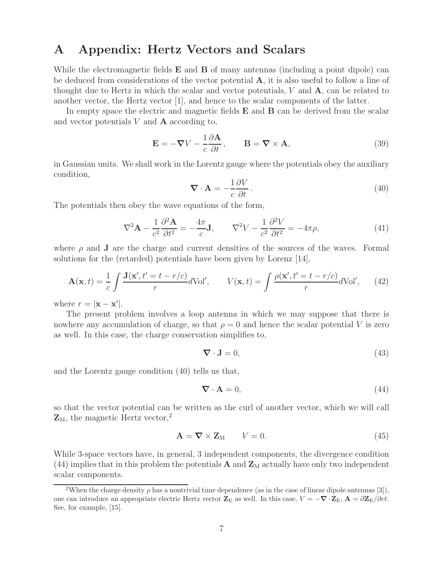## **A Appendix: Hertz Vectors and Scalars**

While the electromagnetic fields **E** and **B** of many antennas (including a point dipole) can be deduced from considerations of the vector potential **A**, it is also useful to follow a line of thought due to Hertz in which the scalar and vector potentials, V and **A**, can be related to another vector, the Hertz vector [1], and hence to the scalar components of the latter.

In empty space the electric and magnetic fields **E** and **B** can be derived from the scalar and vector potentials V and **A** according to,

$$
\mathbf{E} = -\nabla V - \frac{1}{c} \frac{\partial \mathbf{A}}{\partial t}, \qquad \mathbf{B} = \nabla \times \mathbf{A}, \tag{39}
$$

in Gaussian units. We shall work in the Lorentz gauge where the potentials obey the auxiliary condition,

$$
\nabla \cdot \mathbf{A} = -\frac{1}{c} \frac{\partial V}{\partial t}.
$$
 (40)

The potentials then obey the wave equations of the form,

$$
\nabla^2 \mathbf{A} - \frac{1}{c^2} \frac{\partial^2 \mathbf{A}}{\partial t^2} = -\frac{4\pi}{c} \mathbf{J}, \qquad \nabla^2 V - \frac{1}{c^2} \frac{\partial^2 V}{\partial t^2} = -4\pi \rho,
$$
\n(41)

where  $\rho$  and **J** are the charge and current densities of the sources of the waves. Formal solutions for the (retarded) potentials have been given by Lorenz [14],

$$
\mathbf{A}(\mathbf{x},t) = \frac{1}{c} \int \frac{\mathbf{J}(\mathbf{x}',t'=t-r/c)}{r} d\mathrm{Vol}', \qquad V(\mathbf{x},t) = \int \frac{\rho(\mathbf{x}',t'=t-r/c)}{r} d\mathrm{Vol}', \qquad (42)
$$

where  $r = |\mathbf{x} - \mathbf{x}'|$ .

The present problem involves a loop antenna in which we may suppose that there is nowhere any accumulation of charge, so that  $\rho = 0$  and hence the scalar potential V is zero as well. In this case, the charge conservation simplifies to,

$$
\nabla \cdot \mathbf{J} = 0,\tag{43}
$$

and the Lorentz gauge condition (40) tells us that,

$$
\nabla \cdot \mathbf{A} = 0,\tag{44}
$$

so that the vector potential can be written as the curl of another vector, which we will call  $\mathbf{Z}_M$ , the magnetic Hertz vector,<sup>2</sup>

$$
\mathbf{A} = \nabla \times \mathbf{Z}_{\mathrm{M}} \qquad V = 0. \tag{45}
$$

While 3-space vectors have, in general, 3 independent components, the divergence condition (44) implies that in this problem the potentials  $\bf{A}$  and  $\bf{Z}_{M}$  actually have only two independent scalar components.

<sup>&</sup>lt;sup>2</sup>When the charge density  $\rho$  has a nontrivial time dependence (as in the case of linear dipole antennas [3]), one can introduce an appropriate electric Hertz vector  $\mathbf{Z}_E$  as well. In this case,  $V = -\nabla \cdot \mathbf{Z}_E$ ,  $\mathbf{A} = \frac{\partial \mathbf{Z}_E}{\partial c}t$ . See, for example, [15].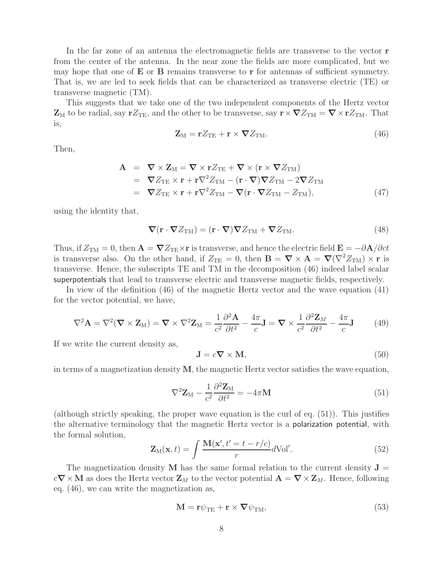In the far zone of an antenna the electromagnetic fields are transverse to the vector **r** from the center of the antenna. In the near zone the fields are more complicated, but we may hope that one of **E** or **B** remains transverse to **r** for antennas of sufficient symmetry. That is, we are led to seek fields that can be characterized as transverse electric (TE) or transverse magnetic (TM).

This suggests that we take one of the two independent components of the Hertz vector  $\mathbf{Z}_M$  to be radial, say  $\mathbf{r}Z_{\text{TE}}$ , and the other to be transverse, say  $\mathbf{r} \times \nabla Z_{\text{TM}} = \nabla \times \mathbf{r}Z_{\text{TM}}$ . That is,

$$
\mathbf{Z}_{\mathrm{M}} = \mathbf{r} Z_{\mathrm{TE}} + \mathbf{r} \times \mathbf{\nabla} Z_{\mathrm{TM}}.\tag{46}
$$

Then,

$$
\mathbf{A} = \nabla \times \mathbf{Z}_{\mathrm{M}} = \nabla \times \mathbf{r} Z_{\mathrm{TE}} + \nabla \times (\mathbf{r} \times \nabla Z_{\mathrm{TM}})
$$
  
\n
$$
= \nabla Z_{\mathrm{TE}} \times \mathbf{r} + \mathbf{r} \nabla^2 Z_{\mathrm{TM}} - (\mathbf{r} \cdot \nabla) \nabla Z_{\mathrm{TM}} - 2 \nabla Z_{\mathrm{TM}}
$$
  
\n
$$
= \nabla Z_{\mathrm{TE}} \times \mathbf{r} + \mathbf{r} \nabla^2 Z_{\mathrm{TM}} - \nabla (\mathbf{r} \cdot \nabla Z_{\mathrm{TM}} - Z_{\mathrm{TM}}), \tag{47}
$$

using the identity that,

$$
\nabla(\mathbf{r} \cdot \nabla Z_{TM}) = (\mathbf{r} \cdot \nabla) \nabla Z_{TM} + \nabla Z_{TM}.
$$
 (48)

Thus, if  $Z_{TM} = 0$ , then  $\mathbf{A} = \nabla Z_{TE} \times \mathbf{r}$  is transverse, and hence the electric field  $\mathbf{E} = -\partial \mathbf{A}/\partial ct$ is transverse also. On the other hand, if  $Z_{\text{TE}} = 0$ , then  $\mathbf{B} = \nabla \times \mathbf{A} = \nabla (\nabla^2 Z_{\text{TM}}) \times \mathbf{r}$  is transverse. Hence, the subscripts TE and TM in the decomposition (46) indeed label scalar superpotentials that lead to transverse electric and transverse magnetic fields, respectively.

In view of the definition (46) of the magnetic Hertz vector and the wave equation (41) for the vector potential, we have,

$$
\nabla^2 \mathbf{A} = \nabla^2 (\nabla \times \mathbf{Z}_M) = \nabla \times \nabla^2 \mathbf{Z}_M = \frac{1}{c^2} \frac{\partial^2 \mathbf{A}}{\partial t^2} - \frac{4\pi}{c} \mathbf{J} = \nabla \times \frac{1}{c^2} \frac{\partial^2 \mathbf{Z}_M}{\partial t^2} - \frac{4\pi}{c} \mathbf{J}
$$
(49)

If we write the current density as,

$$
\mathbf{J} = c\mathbf{\nabla} \times \mathbf{M},\tag{50}
$$

in terms of a magnetization density **M**, the magnetic Hertz vector satisfies the wave equation,

$$
\nabla^2 \mathbf{Z}_M - \frac{1}{c^2} \frac{\partial^2 \mathbf{Z}_M}{\partial t^2} = -4\pi \mathbf{M}
$$
\n(51)

(although strictly speaking, the proper wave equation is the curl of eq. (51)). This justifies the alternative terminology that the magnetic Hertz vector is a polarization potential, with the formal solution,

$$
\mathbf{Z}_{\mathrm{M}}(\mathbf{x},t) = \int \frac{\mathbf{M}(\mathbf{x}',t'=t-r/c)}{r} d\mathrm{Vol}'. \qquad (52)
$$

The magnetization density **M** has the same formal relation to the current density  $J =$  $c\mathbf{\nabla}\times\mathbf{M}$  as does the Hertz vector  $\mathbf{Z}_M$  to the vector potential  $\mathbf{A} = \mathbf{\nabla}\times\mathbf{Z}_M$ . Hence, following eq. (46), we can write the magnetization as,

$$
\mathbf{M} = \mathbf{r}\psi_{\mathrm{TE}} + \mathbf{r} \times \nabla \psi_{\mathrm{TM}},\tag{53}
$$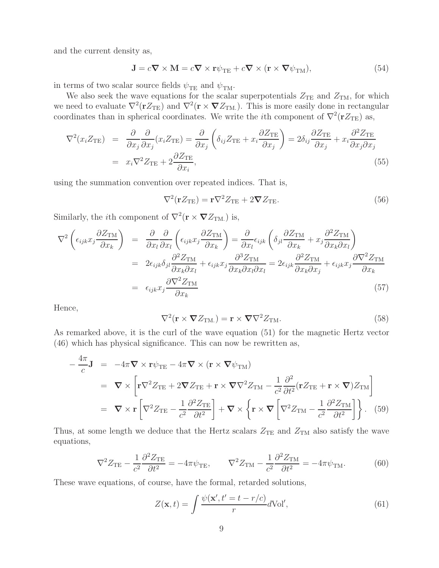and the current density as,

$$
\mathbf{J} = c\mathbf{\nabla} \times \mathbf{M} = c\mathbf{\nabla} \times \mathbf{r}\psi_{\mathrm{TE}} + c\mathbf{\nabla} \times (\mathbf{r} \times \mathbf{\nabla}\psi_{\mathrm{TM}}),\tag{54}
$$

in terms of two scalar source fields  $\psi_{TE}$  and  $\psi_{TM}$ .

We also seek the wave equations for the scalar superpotentials  $Z_{\text{TE}}$  and  $Z_{\text{TM}}$ , for which we need to evaluate  $\nabla^2(\mathbf{r} Z_{\text{TE}})$  and  $\nabla^2(\mathbf{r} \times \nabla Z_{\text{TM}})$ . This is more easily done in rectangular coordinates than in spherical coordinates. We write the *i*th component of  $\nabla^2(\mathbf{r}Z_{\text{TE}})$  as,

$$
\nabla^2(x_i Z_{\text{TE}}) = \frac{\partial}{\partial x_j} \frac{\partial}{\partial x_j} (x_i Z_{\text{TE}}) = \frac{\partial}{\partial x_j} \left( \delta_{ij} Z_{\text{TE}} + x_i \frac{\partial Z_{\text{TE}}}{\partial x_j} \right) = 2\delta_{ij} \frac{\partial Z_{\text{TE}}}{\partial x_j} + x_i \frac{\partial^2 Z_{\text{TE}}}{\partial x_j \partial x_j}
$$
  
=  $x_i \nabla^2 Z_{\text{TE}} + 2 \frac{\partial Z_{\text{TE}}}{\partial x_i},$  (55)

using the summation convention over repeated indices. That is,

$$
\nabla^2(\mathbf{r}Z_{\rm TE}) = \mathbf{r}\nabla^2 Z_{\rm TE} + 2\boldsymbol{\nabla}Z_{\rm TE}.
$$
 (56)

Similarly, the *i*<sup>th</sup> component of  $\nabla^2(\mathbf{r} \times \nabla Z_{\text{TM.}})$  is,

$$
\nabla^2 \left( \epsilon_{ijk} x_j \frac{\partial Z_{\text{TM}}}{\partial x_k} \right) = \frac{\partial}{\partial x_l} \frac{\partial}{\partial x_l} \left( \epsilon_{ijk} x_j \frac{\partial Z_{\text{TM}}}{\partial x_k} \right) = \frac{\partial}{\partial x_l} \epsilon_{ijk} \left( \delta_{jl} \frac{\partial Z_{\text{TM}}}{\partial x_k} + x_j \frac{\partial^2 Z_{\text{TM}}}{\partial x_k \partial x_l} \right)
$$
  
\n
$$
= 2 \epsilon_{ijk} \delta_{jl} \frac{\partial^2 Z_{\text{TM}}}{\partial x_k \partial x_l} + \epsilon_{ijk} x_j \frac{\partial^3 Z_{\text{TM}}}{\partial x_k \partial x_l \partial x_l} = 2 \epsilon_{ijk} \frac{\partial^2 Z_{\text{TM}}}{\partial x_k \partial x_j} + \epsilon_{ijk} x_j \frac{\partial \nabla^2 Z_{\text{TM}}}{\partial x_k}
$$
  
\n
$$
= \epsilon_{ijk} x_j \frac{\partial \nabla^2 Z_{\text{TM}}}{\partial x_k} \qquad (57)
$$

Hence,

$$
\nabla^2(\mathbf{r} \times \nabla Z_{\text{TM.}}) = \mathbf{r} \times \nabla \nabla^2 Z_{\text{TM.}}.
$$
 (58)

As remarked above, it is the curl of the wave equation (51) for the magnetic Hertz vector (46) which has physical significance. This can now be rewritten as,

$$
-\frac{4\pi}{c}\mathbf{J} = -4\pi \nabla \times \mathbf{r}\psi_{\text{TE}} - 4\pi \nabla \times (\mathbf{r} \times \nabla \psi_{\text{TM}})
$$
  
\n
$$
= \nabla \times \left[ \mathbf{r} \nabla^2 Z_{\text{TE}} + 2 \nabla Z_{\text{TE}} + \mathbf{r} \times \nabla \nabla^2 Z_{\text{TM}} - \frac{1}{c^2} \frac{\partial^2}{\partial t^2} (\mathbf{r} Z_{\text{TE}} + \mathbf{r} \times \nabla) Z_{\text{TM}} \right]
$$
  
\n
$$
= \nabla \times \mathbf{r} \left[ \nabla^2 Z_{\text{TE}} - \frac{1}{c^2} \frac{\partial^2 Z_{\text{TE}}}{\partial t^2} \right] + \nabla \times \left\{ \mathbf{r} \times \nabla \left[ \nabla^2 Z_{\text{TM}} - \frac{1}{c^2} \frac{\partial^2 Z_{\text{TM}}}{\partial t^2} \right] \right\}. \tag{59}
$$

Thus, at some length we deduce that the Hertz scalars  $Z_{\text{TE}}$  and  $Z_{\text{TM}}$  also satisfy the wave equations,

$$
\nabla^2 Z_{\rm TE} - \frac{1}{c^2} \frac{\partial^2 Z_{\rm TE}}{\partial t^2} = -4\pi \psi_{\rm TE}, \qquad \nabla^2 Z_{\rm TM} - \frac{1}{c^2} \frac{\partial^2 Z_{\rm TM}}{\partial t^2} = -4\pi \psi_{\rm TM}.
$$
 (60)

These wave equations, of course, have the formal, retarded solutions,

$$
Z(\mathbf{x},t) = \int \frac{\psi(\mathbf{x}',t'=t-r/c)}{r} dVol',\tag{61}
$$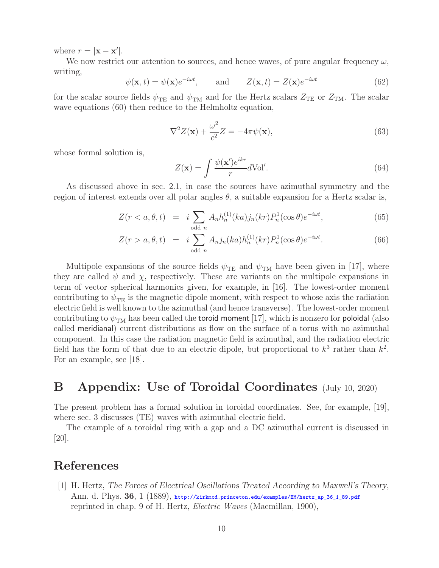where  $r = |\mathbf{x} - \mathbf{x}'|$ .

We now restrict our attention to sources, and hence waves, of pure angular frequency  $\omega$ , writing,

$$
\psi(\mathbf{x},t) = \psi(\mathbf{x})e^{-i\omega t}, \quad \text{and} \quad Z(\mathbf{x},t) = Z(\mathbf{x})e^{-i\omega t}
$$
\n(62)

for the scalar source fields  $\psi_{\text{TE}}$  and  $\psi_{\text{TM}}$  and for the Hertz scalars  $Z_{\text{TE}}$  or  $Z_{\text{TM}}$ . The scalar wave equations (60) then reduce to the Helmholtz equation,

$$
\nabla^2 Z(\mathbf{x}) + \frac{\omega^2}{c^2} Z = -4\pi \psi(\mathbf{x}),\tag{63}
$$

whose formal solution is,

$$
Z(\mathbf{x}) = \int \frac{\psi(\mathbf{x}')e^{ikr}}{r} d\text{Vol}'.\tag{64}
$$

As discussed above in sec. 2.1, in case the sources have azimuthal symmetry and the region of interest extends over all polar angles  $\theta$ , a suitable expansion for a Hertz scalar is,

$$
Z(r < a, \theta, t) = i \sum_{\text{odd } n} A_n h_n^{(1)}(ka) j_n(kr) P_n^1(\cos \theta) e^{-i\omega t},\tag{65}
$$

$$
Z(r > a, \theta, t) = i \sum_{\text{odd } n} A_n j_n(ka) h_n^{(1)}(kr) P_n^1(\cos \theta) e^{-i\omega t}.
$$
 (66)

Multipole expansions of the source fields  $\psi_{TE}$  and  $\psi_{TM}$  have been given in [17], where they are called  $\psi$  and  $\chi$ , respectively. These are variants on the multipole expansions in term of vector spherical harmonics given, for example, in [16]. The lowest-order moment contributing to  $\psi_{\text{TE}}$  is the magnetic dipole moment, with respect to whose axis the radiation electric field is well known to the azimuthal (and hence transverse). The lowest-order moment contributing to  $\psi_{TM}$  has been called the toroid moment [17], which is nonzero for poloidal (also called meridianal) current distributions as flow on the surface of a torus with no azimuthal component. In this case the radiation magnetic field is azimuthal, and the radiation electric field has the form of that due to an electric dipole, but proportional to  $k^3$  rather than  $k^2$ . For an example, see [18].

### **B Appendix: Use of Toroidal Coordinates** (July 10, 2020)

The present problem has a formal solution in toroidal coordinates. See, for example, [19], where sec. 3 discusses (TE) waves with azimuthal electric field.

The example of a toroidal ring with a gap and a DC azimuthal current is discussed in [20].

# **References**

[1] H. Hertz, *The Forces of Electrical Oscillations Treated According to Maxwell's Theory*, Ann. d. Phys. **36**, 1 (1889), http://kirkmcd.princeton.edu/examples/EM/hertz\_ap\_36\_1\_89.pdf reprinted in chap. 9 of H. Hertz, *Electric Waves* (Macmillan, 1900),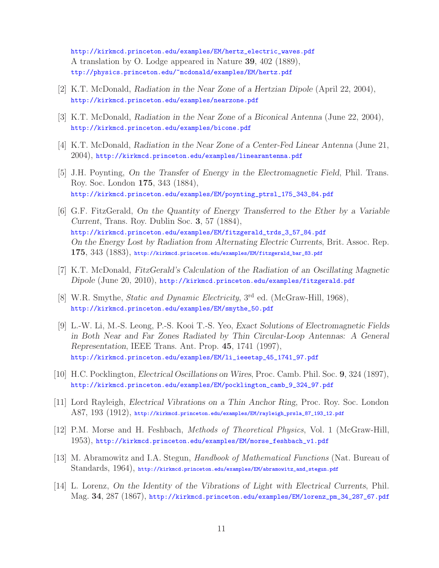http://kirkmcd.princeton.edu/examples/EM/hertz\_electric\_waves.pdf A translation by O. Lodge appeared in Nature **39**, 402 (1889), ttp://physics.princeton.edu/~mcdonald/examples/EM/hertz.pdf

- [2] K.T. McDonald, *Radiation in the Near Zone of a Hertzian Dipole* (April 22, 2004), http://kirkmcd.princeton.edu/examples/nearzone.pdf
- [3] K.T. McDonald, *Radiation in the Near Zone of a Biconical Antenna* (June 22, 2004), http://kirkmcd.princeton.edu/examples/bicone.pdf
- [4] K.T. McDonald, *Radiation in the Near Zone of a Center-Fed Linear Antenna* (June 21, 2004), http://kirkmcd.princeton.edu/examples/linearantenna.pdf
- [5] J.H. Poynting, *On the Transfer of Energy in the Electromagnetic Field*, Phil. Trans. Roy. Soc. London **175**, 343 (1884), http://kirkmcd.princeton.edu/examples/EM/poynting\_ptrsl\_175\_343\_84.pdf
- [6] G.F. FitzGerald, *On the Quantity of Energy Transferred to the Ether by a Variable Current*, Trans. Roy. Dublin Soc. **3**, 57 (1884), http://kirkmcd.princeton.edu/examples/EM/fitzgerald\_trds\_3\_57\_84.pdf *On the Energy Lost by Radiation from Alternating Electric Currents*, Brit. Assoc. Rep. **175**, 343 (1883), http://kirkmcd.princeton.edu/examples/EM/fitzgerald\_bar\_83.pdf
- [7] K.T. McDonald, *FitzGerald's Calculation of the Radiation of an Oscillating Magnetic Dipole* (June 20, 2010), http://kirkmcd.princeton.edu/examples/fitzgerald.pdf
- [8] W.R. Smythe, *Static and Dynamic Electricity*, 3rd ed. (McGraw-Hill, 1968), http://kirkmcd.princeton.edu/examples/EM/smythe\_50.pdf
- [9] L.-W. Li, M.-S. Leong, P.-S. Kooi T.-S. Yeo, *Exact Solutions of Electromagnetic Fields in Both Near and Far Zones Radiated by Thin Circular-Loop Antennas: A General Representation*, IEEE Trans. Ant. Prop. **45**, 1741 (1997), http://kirkmcd.princeton.edu/examples/EM/li\_ieeetap\_45\_1741\_97.pdf
- [10] H.C. Pocklington, *Electrical Oscillations on Wires*, Proc. Camb. Phil. Soc. **9**, 324 (1897), http://kirkmcd.princeton.edu/examples/EM/pocklington\_camb\_9\_324\_97.pdf
- [11] Lord Rayleigh, *Electrical Vibrations on a Thin Anchor Ring*, Proc. Roy. Soc. London A87, 193 (1912), http://kirkmcd.princeton.edu/examples/EM/rayleigh\_prsla\_87\_193\_12.pdf
- [12] P.M. Morse and H. Feshbach, *Methods of Theoretical Physics*, Vol. 1 (McGraw-Hill, 1953), http://kirkmcd.princeton.edu/examples/EM/morse\_feshbach\_v1.pdf
- [13] M. Abramowitz and I.A. Stegun, *Handbook of Mathematical Functions* (Nat. Bureau of Standards, 1964), http://kirkmcd.princeton.edu/examples/EM/abramowitz\_and\_stegun.pdf
- [14] L. Lorenz, *On the Identity of the Vibrations of Light with Electrical Currents*, Phil. Mag. **34**, 287 (1867), http://kirkmcd.princeton.edu/examples/EM/lorenz\_pm\_34\_287\_67.pdf